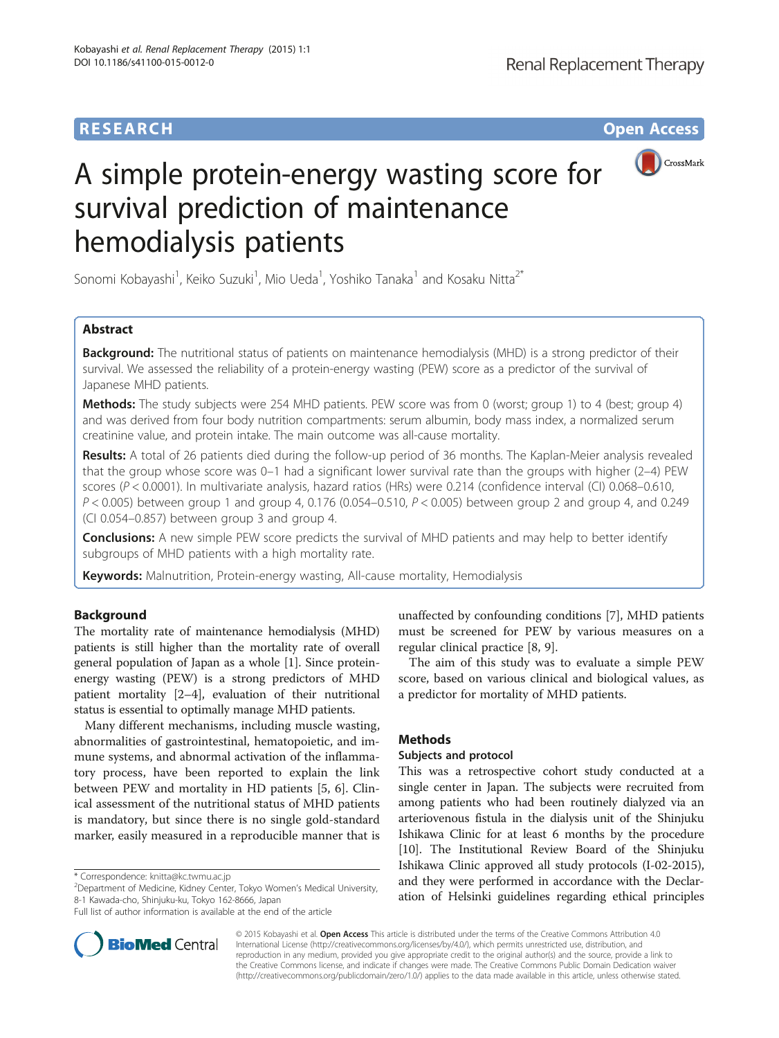## **RESEARCH RESEARCH** *CHECK CHECK CHECK CHECK CHECK CHECK CHECK CHECK CHECK CHECK CHECK CHECK CHECK CHECK CHECK CHECK CHECK CHECK CHECK CHECK CHECK CHECK CHECK CHECK CHECK CHECK CHECK CHECK CHECK CHECK CHECK CHECK CHECK*



# A simple protein-energy wasting score for survival prediction of maintenance hemodialysis patients

Sonomi Kobayashi<sup>1</sup>, Keiko Suzuki<sup>1</sup>, Mio Ueda<sup>1</sup>, Yoshiko Tanaka<sup>1</sup> and Kosaku Nitta<sup>2\*</sup>

## Abstract

Background: The nutritional status of patients on maintenance hemodialysis (MHD) is a strong predictor of their survival. We assessed the reliability of a protein-energy wasting (PEW) score as a predictor of the survival of Japanese MHD patients.

Methods: The study subjects were 254 MHD patients. PEW score was from 0 (worst; group 1) to 4 (best; group 4) and was derived from four body nutrition compartments: serum albumin, body mass index, a normalized serum creatinine value, and protein intake. The main outcome was all-cause mortality.

Results: A total of 26 patients died during the follow-up period of 36 months. The Kaplan-Meier analysis revealed that the group whose score was 0–1 had a significant lower survival rate than the groups with higher (2–4) PEW scores ( $P < 0.0001$ ). In multivariate analysis, hazard ratios (HRs) were 0.214 (confidence interval (CI) 0.068–0.610,  $P < 0.005$ ) between group 1 and group 4, 0.176 (0.054–0.510,  $P < 0.005$ ) between group 2 and group 4, and 0.249 (CI 0.054–0.857) between group 3 and group 4.

**Conclusions:** A new simple PEW score predicts the survival of MHD patients and may help to better identify subgroups of MHD patients with a high mortality rate.

Keywords: Malnutrition, Protein-energy wasting, All-cause mortality, Hemodialysis

## Background

The mortality rate of maintenance hemodialysis (MHD) patients is still higher than the mortality rate of overall general population of Japan as a whole [\[1](#page-4-0)]. Since proteinenergy wasting (PEW) is a strong predictors of MHD patient mortality [[2](#page-4-0)–[4](#page-4-0)], evaluation of their nutritional status is essential to optimally manage MHD patients.

Many different mechanisms, including muscle wasting, abnormalities of gastrointestinal, hematopoietic, and immune systems, and abnormal activation of the inflammatory process, have been reported to explain the link between PEW and mortality in HD patients [[5, 6](#page-4-0)]. Clinical assessment of the nutritional status of MHD patients is mandatory, but since there is no single gold-standard marker, easily measured in a reproducible manner that is

<sup>2</sup>Department of Medicine, Kidney Center, Tokyo Women's Medical University, 8-1 Kawada-cho, Shinjuku-ku, Tokyo 162-8666, Japan



The aim of this study was to evaluate a simple PEW score, based on various clinical and biological values, as a predictor for mortality of MHD patients.

## Methods

#### Subjects and protocol

This was a retrospective cohort study conducted at a single center in Japan. The subjects were recruited from among patients who had been routinely dialyzed via an arteriovenous fistula in the dialysis unit of the Shinjuku Ishikawa Clinic for at least 6 months by the procedure [[10](#page-4-0)]. The Institutional Review Board of the Shinjuku Ishikawa Clinic approved all study protocols (I-02-2015), and they were performed in accordance with the Declaration of Helsinki guidelines regarding ethical principles



© 2015 Kobayashi et al. Open Access This article is distributed under the terms of the Creative Commons Attribution 4.0 International License [\(http://creativecommons.org/licenses/by/4.0/](http://creativecommons.org/licenses/by/4.0/)), which permits unrestricted use, distribution, and reproduction in any medium, provided you give appropriate credit to the original author(s) and the source, provide a link to the Creative Commons license, and indicate if changes were made. The Creative Commons Public Domain Dedication waiver [\(http://creativecommons.org/publicdomain/zero/1.0/](http://creativecommons.org/publicdomain/zero/1.0/)) applies to the data made available in this article, unless otherwise stated.

<sup>\*</sup> Correspondence: [knitta@kc.twmu.ac.jp](mailto:knitta@kc.twmu.ac.jp) <sup>2</sup>

Full list of author information is available at the end of the article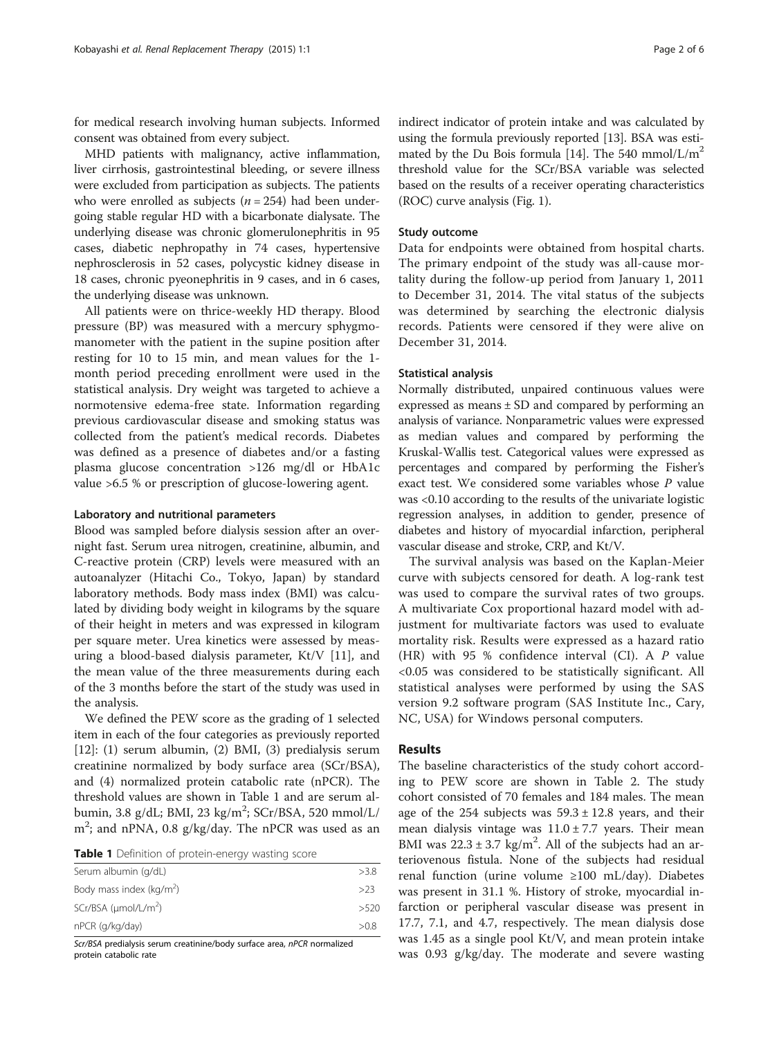for medical research involving human subjects. Informed consent was obtained from every subject.

MHD patients with malignancy, active inflammation, liver cirrhosis, gastrointestinal bleeding, or severe illness were excluded from participation as subjects. The patients who were enrolled as subjects ( $n = 254$ ) had been undergoing stable regular HD with a bicarbonate dialysate. The underlying disease was chronic glomerulonephritis in 95 cases, diabetic nephropathy in 74 cases, hypertensive nephrosclerosis in 52 cases, polycystic kidney disease in 18 cases, chronic pyeonephritis in 9 cases, and in 6 cases, the underlying disease was unknown.

All patients were on thrice-weekly HD therapy. Blood pressure (BP) was measured with a mercury sphygmomanometer with the patient in the supine position after resting for 10 to 15 min, and mean values for the 1 month period preceding enrollment were used in the statistical analysis. Dry weight was targeted to achieve a normotensive edema-free state. Information regarding previous cardiovascular disease and smoking status was collected from the patient's medical records. Diabetes was defined as a presence of diabetes and/or a fasting plasma glucose concentration >126 mg/dl or HbA1c value >6.5 % or prescription of glucose-lowering agent.

#### Laboratory and nutritional parameters

Blood was sampled before dialysis session after an overnight fast. Serum urea nitrogen, creatinine, albumin, and C-reactive protein (CRP) levels were measured with an autoanalyzer (Hitachi Co., Tokyo, Japan) by standard laboratory methods. Body mass index (BMI) was calculated by dividing body weight in kilograms by the square of their height in meters and was expressed in kilogram per square meter. Urea kinetics were assessed by measuring a blood-based dialysis parameter, Kt/V [[11\]](#page-4-0), and the mean value of the three measurements during each of the 3 months before the start of the study was used in the analysis.

We defined the PEW score as the grading of 1 selected item in each of the four categories as previously reported [[12\]](#page-4-0): (1) serum albumin, (2) BMI, (3) predialysis serum creatinine normalized by body surface area (SCr/BSA), and (4) normalized protein catabolic rate (nPCR). The threshold values are shown in Table 1 and are serum albumin, 3.8 g/dL; BMI, 23 kg/m<sup>2</sup>; SCr/BSA, 520 mmol/L/ m<sup>2</sup>; and nPNA, 0.8 g/kg/day. The nPCR was used as an

Table 1 Definition of protein-energy wasting score

| Serum albumin (g/dL)             | >3.8  |
|----------------------------------|-------|
| Body mass index ( $kg/m2$ )      | >23   |
| $SCr/BSA$ ( $\mu$ mol/ $L/m^2$ ) | >520  |
| nPCR (g/kg/day)                  | > 0.8 |

Scr/BSA predialysis serum creatinine/body surface area, nPCR normalized protein catabolic rate

indirect indicator of protein intake and was calculated by using the formula previously reported [\[13](#page-5-0)]. BSA was esti-mated by the Du Bois formula [[14](#page-5-0)]. The 540 mmol/ $L/m<sup>2</sup>$ threshold value for the SCr/BSA variable was selected based on the results of a receiver operating characteristics (ROC) curve analysis (Fig. [1](#page-2-0)).

#### Study outcome

Data for endpoints were obtained from hospital charts. The primary endpoint of the study was all-cause mortality during the follow-up period from January 1, 2011 to December 31, 2014. The vital status of the subjects was determined by searching the electronic dialysis records. Patients were censored if they were alive on December 31, 2014.

### Statistical analysis

Normally distributed, unpaired continuous values were expressed as means  $\pm$  SD and compared by performing an analysis of variance. Nonparametric values were expressed as median values and compared by performing the Kruskal-Wallis test. Categorical values were expressed as percentages and compared by performing the Fisher's exact test. We considered some variables whose P value was <0.10 according to the results of the univariate logistic regression analyses, in addition to gender, presence of diabetes and history of myocardial infarction, peripheral vascular disease and stroke, CRP, and Kt/V.

The survival analysis was based on the Kaplan-Meier curve with subjects censored for death. A log-rank test was used to compare the survival rates of two groups. A multivariate Cox proportional hazard model with adjustment for multivariate factors was used to evaluate mortality risk. Results were expressed as a hazard ratio (HR) with 95 % confidence interval (CI). A P value <0.05 was considered to be statistically significant. All statistical analyses were performed by using the SAS version 9.2 software program (SAS Institute Inc., Cary, NC, USA) for Windows personal computers.

## Results

The baseline characteristics of the study cohort according to PEW score are shown in Table [2](#page-2-0). The study cohort consisted of 70 females and 184 males. The mean age of the 254 subjects was  $59.3 \pm 12.8$  years, and their mean dialysis vintage was  $11.0 \pm 7.7$  years. Their mean BMI was  $22.3 \pm 3.7$  kg/m<sup>2</sup>. All of the subjects had an arteriovenous fistula. None of the subjects had residual renal function (urine volume ≥100 mL/day). Diabetes was present in 31.1 %. History of stroke, myocardial infarction or peripheral vascular disease was present in 17.7, 7.1, and 4.7, respectively. The mean dialysis dose was 1.45 as a single pool Kt/V, and mean protein intake was 0.93 g/kg/day. The moderate and severe wasting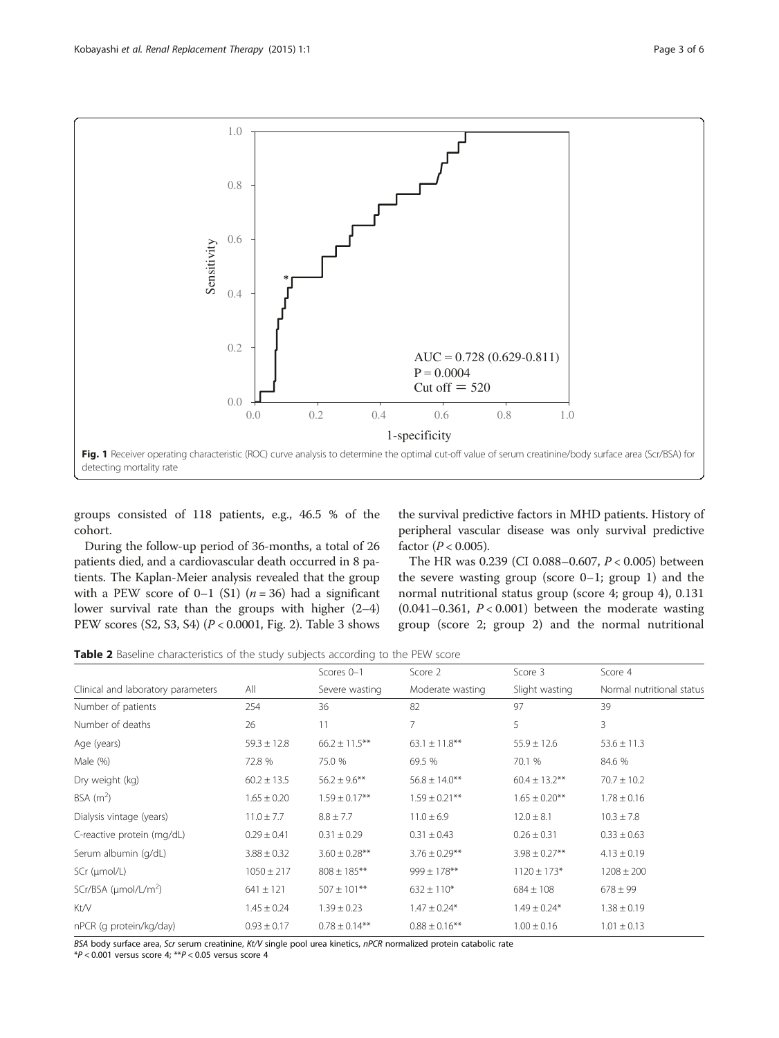<span id="page-2-0"></span>

groups consisted of 118 patients, e.g., 46.5 % of the cohort.

During the follow-up period of 36-months, a total of 26 patients died, and a cardiovascular death occurred in 8 patients. The Kaplan-Meier analysis revealed that the group with a PEW score of 0–1 (S1)  $(n = 36)$  had a significant lower survival rate than the groups with higher (2–4) PEW scores (S2, S3, S4) (P < 0.0001, Fig. [2](#page-3-0)). Table [3](#page-3-0) shows

the survival predictive factors in MHD patients. History of peripheral vascular disease was only survival predictive factor ( $P < 0.005$ ).

The HR was 0.239 (CI 0.088–0.607, P < 0.005) between the severe wasting group (score 0–1; group 1) and the normal nutritional status group (score 4; group 4), 0.131 (0.041–0.361,  $P < 0.001$ ) between the moderate wasting group (score 2; group 2) and the normal nutritional

Table 2 Baseline characteristics of the study subjects according to the PEW score

|                                          |                 | Scores 0-1         | Score 2            | Score 3            | Score 4                   |
|------------------------------------------|-----------------|--------------------|--------------------|--------------------|---------------------------|
| Clinical and laboratory parameters       | All             | Severe wasting     | Moderate wasting   | Slight wasting     | Normal nutritional status |
| Number of patients                       | 254             | 36                 | 82                 | 97                 | 39                        |
| Number of deaths                         | 26              | 11                 | 7                  | 5                  | 3                         |
| Age (years)                              | $59.3 \pm 12.8$ | $66.2 \pm 11.5***$ | $63.1 \pm 11.8$ ** | $55.9 \pm 12.6$    | $53.6 \pm 11.3$           |
| Male (%)                                 | 72.8 %          | 75.0 %             | 69.5 %             | 70.1 %             | 84.6 %                    |
| Dry weight (kg)                          | $60.2 \pm 13.5$ | $56.2 \pm 9.6***$  | $56.8 \pm 14.0***$ | $60.4 \pm 13.2$ ** | $70.7 \pm 10.2$           |
| BSA $(m^2)$                              | $1.65 \pm 0.20$ | $1.59 \pm 0.17$ ** | $1.59 \pm 0.21$ ** | $1.65 \pm 0.20$ ** | $1.78 \pm 0.16$           |
| Dialysis vintage (years)                 | $11.0 \pm 7.7$  | $8.8 \pm 7.7$      | $11.0 \pm 6.9$     | $12.0 \pm 8.1$     | $10.3 \pm 7.8$            |
| C-reactive protein (mg/dL)               | $0.29 \pm 0.41$ | $0.31 \pm 0.29$    | $0.31 \pm 0.43$    | $0.26 \pm 0.31$    | $0.33 \pm 0.63$           |
| Serum albumin (g/dL)                     | $3.88 \pm 0.32$ | $3.60 \pm 0.28$ ** | $3.76 \pm 0.29***$ | $3.98 \pm 0.27$ ** | $4.13 \pm 0.19$           |
| SCr (µmol/L)                             | $1050 \pm 217$  | $808 \pm 185***$   | $999 \pm 178$ **   | $1120 \pm 173*$    | $1208 \pm 200$            |
| $SCr/BSA$ ( $\mu$ mol/L/m <sup>2</sup> ) | $641 \pm 121$   | $507 \pm 101***$   | $632 \pm 110*$     | $684 \pm 108$      | $678 \pm 99$              |
| Kt/V                                     | $1.45 \pm 0.24$ | $1.39 \pm 0.23$    | $1.47 \pm 0.24*$   | $1.49 \pm 0.24*$   | $1.38 \pm 0.19$           |
| nPCR (q protein/kg/day)                  | $0.93 \pm 0.17$ | $0.78 \pm 0.14***$ | $0.88 \pm 0.16$ ** | $1.00 \pm 0.16$    | $1.01 \pm 0.13$           |

BSA body surface area, Scr serum creatinine, Kt/V single pool urea kinetics, nPCR normalized protein catabolic rate

 $*P < 0.001$  versus score 4;  $**P < 0.05$  versus score 4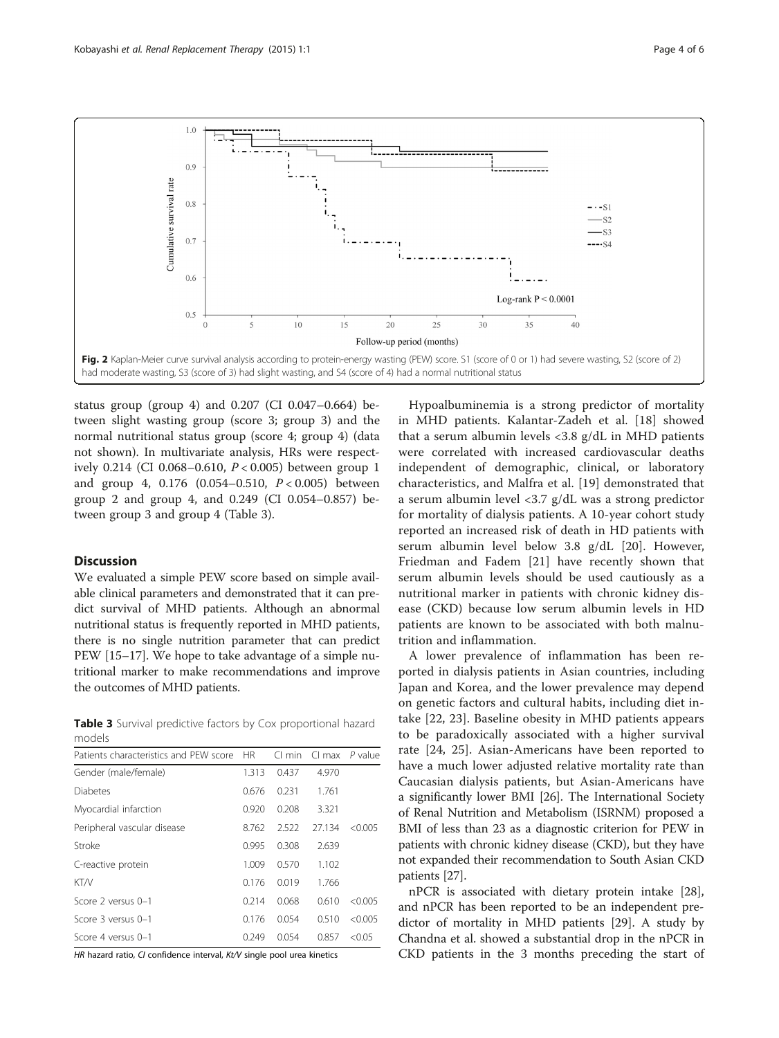<span id="page-3-0"></span>

status group (group 4) and 0.207 (CI 0.047–0.664) between slight wasting group (score 3; group 3) and the normal nutritional status group (score 4; group 4) (data not shown). In multivariate analysis, HRs were respectively 0.214 (CI 0.068–0.610, P < 0.005) between group 1 and group 4,  $0.176$   $(0.054 - 0.510, P < 0.005)$  between group 2 and group 4, and 0.249 (CI 0.054–0.857) between group 3 and group 4 (Table 3).

## **Discussion**

We evaluated a simple PEW score based on simple available clinical parameters and demonstrated that it can predict survival of MHD patients. Although an abnormal nutritional status is frequently reported in MHD patients, there is no single nutrition parameter that can predict PEW [\[15](#page-5-0)–[17\]](#page-5-0). We hope to take advantage of a simple nutritional marker to make recommendations and improve the outcomes of MHD patients.

Table 3 Survival predictive factors by Cox proportional hazard models

| Patients characteristics and PFW score | <b>HR</b> | $Cl$ min |       | $Cl$ max $P$ value |
|----------------------------------------|-----------|----------|-------|--------------------|
| Gender (male/female)                   | 1.313     | 0.437    | 4.970 |                    |
| <b>Diabetes</b>                        | 0.676     | 0.231    | 1.761 |                    |
| Myocardial infarction                  | 0.920     | 0.208    | 3.321 |                    |
| Peripheral vascular disease            | 8.762     | 2.522    | 27134 | <0.005             |
| Stroke                                 | 0.995     | 0.308    | 2.639 |                    |
| C-reactive protein                     | 1.009     | 0.570    | 1.102 |                    |
| KT/V                                   | 0.176     | 0019     | 1.766 |                    |
| Score 2 versus 0-1                     | 0.214     | 0.068    | 0.610 | < 0.005            |
| Score 3 versus 0-1                     | 0176      | 0.054    | 0.510 | $<$ 0.005          |
| Score 4 versus 0-1                     | 0.249     | 0054     | 0.857 | $<$ 0.05           |

HR hazard ratio, CI confidence interval, Kt/V single pool urea kinetics

Hypoalbuminemia is a strong predictor of mortality in MHD patients. Kalantar-Zadeh et al. [[18\]](#page-5-0) showed that a serum albumin levels <3.8 g/dL in MHD patients were correlated with increased cardiovascular deaths independent of demographic, clinical, or laboratory characteristics, and Malfra et al. [\[19](#page-5-0)] demonstrated that a serum albumin level <3.7 g/dL was a strong predictor for mortality of dialysis patients. A 10-year cohort study reported an increased risk of death in HD patients with serum albumin level below 3.8 g/dL [\[20](#page-5-0)]. However, Friedman and Fadem [\[21](#page-5-0)] have recently shown that serum albumin levels should be used cautiously as a nutritional marker in patients with chronic kidney disease (CKD) because low serum albumin levels in HD patients are known to be associated with both malnutrition and inflammation.

A lower prevalence of inflammation has been reported in dialysis patients in Asian countries, including Japan and Korea, and the lower prevalence may depend on genetic factors and cultural habits, including diet intake [\[22](#page-5-0), [23\]](#page-5-0). Baseline obesity in MHD patients appears to be paradoxically associated with a higher survival rate [[24, 25](#page-5-0)]. Asian-Americans have been reported to have a much lower adjusted relative mortality rate than Caucasian dialysis patients, but Asian-Americans have a significantly lower BMI [[26](#page-5-0)]. The International Society of Renal Nutrition and Metabolism (ISRNM) proposed a BMI of less than 23 as a diagnostic criterion for PEW in patients with chronic kidney disease (CKD), but they have not expanded their recommendation to South Asian CKD patients [\[27\]](#page-5-0).

nPCR is associated with dietary protein intake [\[28](#page-5-0)], and nPCR has been reported to be an independent predictor of mortality in MHD patients [\[29](#page-5-0)]. A study by Chandna et al. showed a substantial drop in the nPCR in CKD patients in the 3 months preceding the start of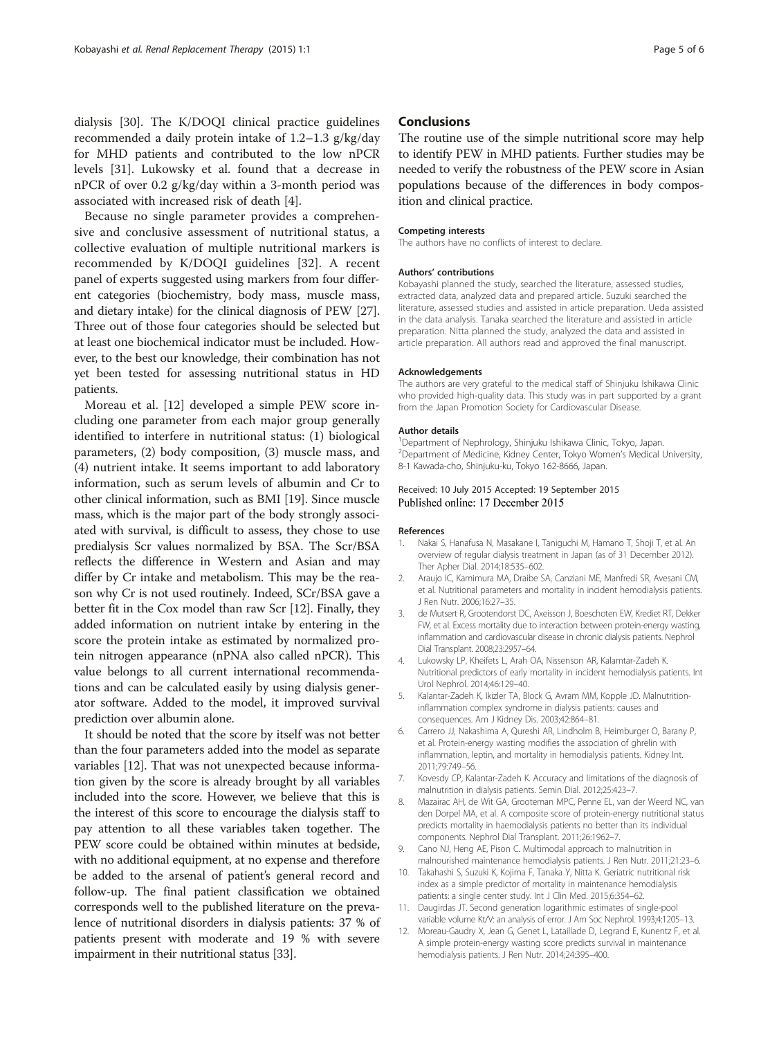<span id="page-4-0"></span>dialysis [[30](#page-5-0)]. The K/DOQI clinical practice guidelines recommended a daily protein intake of 1.2–1.3 g/kg/day for MHD patients and contributed to the low nPCR levels [[31](#page-5-0)]. Lukowsky et al. found that a decrease in nPCR of over 0.2 g/kg/day within a 3-month period was associated with increased risk of death [4].

Because no single parameter provides a comprehensive and conclusive assessment of nutritional status, a collective evaluation of multiple nutritional markers is recommended by K/DOQI guidelines [[32](#page-5-0)]. A recent panel of experts suggested using markers from four different categories (biochemistry, body mass, muscle mass, and dietary intake) for the clinical diagnosis of PEW [[27](#page-5-0)]. Three out of those four categories should be selected but at least one biochemical indicator must be included. However, to the best our knowledge, their combination has not yet been tested for assessing nutritional status in HD patients.

Moreau et al. [12] developed a simple PEW score including one parameter from each major group generally identified to interfere in nutritional status: (1) biological parameters, (2) body composition, (3) muscle mass, and (4) nutrient intake. It seems important to add laboratory information, such as serum levels of albumin and Cr to other clinical information, such as BMI [\[19](#page-5-0)]. Since muscle mass, which is the major part of the body strongly associated with survival, is difficult to assess, they chose to use predialysis Scr values normalized by BSA. The Scr/BSA reflects the difference in Western and Asian and may differ by Cr intake and metabolism. This may be the reason why Cr is not used routinely. Indeed, SCr/BSA gave a better fit in the Cox model than raw Scr [12]. Finally, they added information on nutrient intake by entering in the score the protein intake as estimated by normalized protein nitrogen appearance (nPNA also called nPCR). This value belongs to all current international recommendations and can be calculated easily by using dialysis generator software. Added to the model, it improved survival prediction over albumin alone.

It should be noted that the score by itself was not better than the four parameters added into the model as separate variables [12]. That was not unexpected because information given by the score is already brought by all variables included into the score. However, we believe that this is the interest of this score to encourage the dialysis staff to pay attention to all these variables taken together. The PEW score could be obtained within minutes at bedside, with no additional equipment, at no expense and therefore be added to the arsenal of patient's general record and follow-up. The final patient classification we obtained corresponds well to the published literature on the prevalence of nutritional disorders in dialysis patients: 37 % of patients present with moderate and 19 % with severe impairment in their nutritional status [[33](#page-5-0)].

#### Conclusions

The routine use of the simple nutritional score may help to identify PEW in MHD patients. Further studies may be needed to verify the robustness of the PEW score in Asian populations because of the differences in body composition and clinical practice.

#### Competing interests

The authors have no conflicts of interest to declare.

#### Authors' contributions

Kobayashi planned the study, searched the literature, assessed studies, extracted data, analyzed data and prepared article. Suzuki searched the literature, assessed studies and assisted in article preparation. Ueda assisted in the data analysis. Tanaka searched the literature and assisted in article preparation. Nitta planned the study, analyzed the data and assisted in article preparation. All authors read and approved the final manuscript.

#### Acknowledgements

The authors are very grateful to the medical staff of Shinjuku Ishikawa Clinic who provided high-quality data. This study was in part supported by a grant from the Japan Promotion Society for Cardiovascular Disease.

#### Author details

1 Department of Nephrology, Shinjuku Ishikawa Clinic, Tokyo, Japan. <sup>2</sup> Department of Medicine, Kidney Center, Tokyo Women's Medical University, 8-1 Kawada-cho, Shinjuku-ku, Tokyo 162-8666, Japan.

#### Received: 10 July 2015 Accepted: 19 September 2015 Published online: 17 December 2015

#### References

- 1. Nakai S, Hanafusa N, Masakane I, Taniguchi M, Hamano T, Shoji T, et al. An overview of regular dialysis treatment in Japan (as of 31 December 2012). Ther Apher Dial. 2014;18:535–602.
- 2. Araujo IC, Kamimura MA, Draibe SA, Canziani ME, Manfredi SR, Avesani CM, et al. Nutritional parameters and mortality in incident hemodialysis patients. J Ren Nutr. 2006;16:27–35.
- 3. de Mutsert R, Grootendorst DC, Axeisson J, Boeschoten EW, Krediet RT, Dekker FW, et al. Excess mortality due to interaction between protein-energy wasting, inflammation and cardiovascular disease in chronic dialysis patients. Nephrol Dial Transplant. 2008;23:2957–64.
- 4. Lukowsky LP, Kheifets L, Arah OA, Nissenson AR, Kalamtar-Zadeh K. Nutritional predictors of early mortality in incident hemodialysis patients. Int Urol Nephrol. 2014;46:129–40.
- 5. Kalantar-Zadeh K, Ikizler TA, Block G, Avram MM, Kopple JD. Malnutritioninflammation complex syndrome in dialysis patients: causes and consequences. Am J Kidney Dis. 2003;42:864–81.
- 6. Carrero JJ, Nakashima A, Qureshi AR, Lindholm B, Heimburger O, Barany P, et al. Protein-energy wasting modifies the association of ghrelin with inflammation, leptin, and mortality in hemodialysis patients. Kidney Int. 2011;79:749–56.
- 7. Kovesdy CP, Kalantar-Zadeh K. Accuracy and limitations of the diagnosis of malnutrition in dialysis patients. Semin Dial. 2012;25:423–7.
- 8. Mazairac AH, de Wit GA, Grooteman MPC, Penne EL, van der Weerd NC, van den Dorpel MA, et al. A composite score of protein-energy nutritional status predicts mortality in haemodialysis patients no better than its individual components. Nephrol Dial Transplant. 2011;26:1962–7.
- 9. Cano NJ, Heng AE, Pison C. Multimodal approach to malnutrition in malnourished maintenance hemodialysis patients. J Ren Nutr. 2011;21:23–6.
- 10. Takahashi S, Suzuki K, Kojima F, Tanaka Y, Nitta K. Geriatric nutritional risk index as a simple predictor of mortality in maintenance hemodialysis patients: a single center study. Int J Clin Med. 2015;6:354–62.
- 11. Daugirdas JT. Second generation logarithmic estimates of single-pool variable volume Kt/V: an analysis of error. J Am Soc Nephrol. 1993;4:1205–13.
- 12. Moreau-Gaudry X, Jean G, Genet L, Lataillade D, Legrand E, Kunentz F, et al. A simple protein-energy wasting score predicts survival in maintenance hemodialysis patients. J Ren Nutr. 2014;24:395–400.